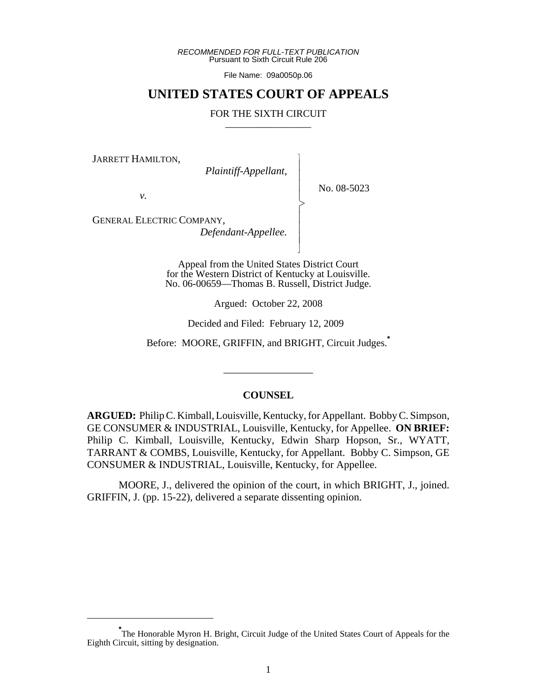*RECOMMENDED FOR FULL-TEXT PUBLICATION* Pursuant to Sixth Circuit Rule 206

File Name: 09a0050p.06

## **UNITED STATES COURT OF APPEALS**

#### FOR THE SIXTH CIRCUIT

 $\overline{\phantom{a}}$ - - - > , - - - N

JARRETT HAMILTON,

 *Plaintiff-Appellant,*

No. 08-5023

*v.*

GENERAL ELECTRIC COMPANY,

 *Defendant-Appellee.*

Appeal from the United States District Court for the Western District of Kentucky at Louisville. No. 06-00659—Thomas B. Russell, District Judge.

Argued: October 22, 2008

Decided and Filed: February 12, 2009

Before: MOORE, GRIFFIN, and BRIGHT, Circuit Judges.**\***

\_\_\_\_\_\_\_\_\_\_\_\_\_\_\_\_\_

#### **COUNSEL**

**ARGUED:** Philip C. Kimball, Louisville, Kentucky, for Appellant. Bobby C. Simpson, GE CONSUMER & INDUSTRIAL, Louisville, Kentucky, for Appellee. **ON BRIEF:** Philip C. Kimball, Louisville, Kentucky, Edwin Sharp Hopson, Sr., WYATT, TARRANT & COMBS, Louisville, Kentucky, for Appellant. Bobby C. Simpson, GE CONSUMER & INDUSTRIAL, Louisville, Kentucky, for Appellee.

MOORE, J., delivered the opinion of the court, in which BRIGHT, J., joined. GRIFFIN, J. (pp. 15-22), delivered a separate dissenting opinion.

<sup>\*&</sup>lt;br>The Honorable Myron H. Bright, Circuit Judge of the United States Court of Appeals for the Eighth Circuit, sitting by designation.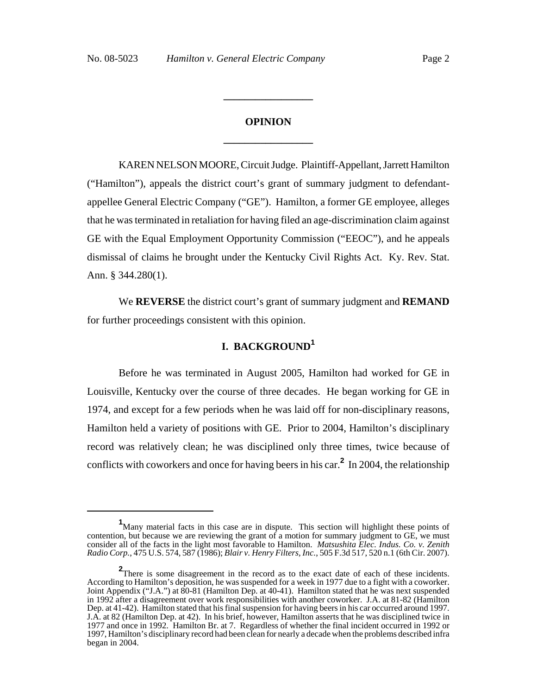# **OPINION \_\_\_\_\_\_\_\_\_\_\_\_\_\_\_\_\_**

**\_\_\_\_\_\_\_\_\_\_\_\_\_\_\_\_\_**

KAREN NELSON MOORE, Circuit Judge. Plaintiff-Appellant, Jarrett Hamilton ("Hamilton"), appeals the district court's grant of summary judgment to defendantappellee General Electric Company ("GE"). Hamilton, a former GE employee, alleges that he was terminated in retaliation for having filed an age-discrimination claim against GE with the Equal Employment Opportunity Commission ("EEOC"), and he appeals dismissal of claims he brought under the Kentucky Civil Rights Act. Ky. Rev. Stat. Ann. § 344.280(1).

We **REVERSE** the district court's grant of summary judgment and **REMAND** for further proceedings consistent with this opinion.

# **I. BACKGROUND<sup>1</sup>**

Before he was terminated in August 2005, Hamilton had worked for GE in Louisville, Kentucky over the course of three decades. He began working for GE in 1974, and except for a few periods when he was laid off for non-disciplinary reasons, Hamilton held a variety of positions with GE. Prior to 2004, Hamilton's disciplinary record was relatively clean; he was disciplined only three times, twice because of conflicts with coworkers and once for having beers in his car.**<sup>2</sup>** In 2004, the relationship

<sup>&</sup>lt;sup>1</sup>Many material facts in this case are in dispute. This section will highlight these points of contention, but because we are reviewing the grant of a motion for summary judgment to GE, we must consider all of the facts in the light most favorable to Hamilton. *Matsushita Elec. Indus. Co. v. Zenith Radio Corp.*, 475 U.S. 574, 587 (1986); *Blair v. Henry Filters, Inc.*, 505 F.3d 517, 520 n.1 (6th Cir. 2007).

**<sup>2</sup>**There is some disagreement in the record as to the exact date of each of these incidents. According to Hamilton's deposition, he was suspended for a week in 1977 due to a fight with a coworker. Joint Appendix ("J.A.") at 80-81 (Hamilton Dep. at 40-41). Hamilton stated that he was next suspended in 1992 after a disagreement over work responsibilities with another coworker. J.A. at 81-82 (Hamilton Dep. at 41-42). Hamilton stated that his final suspension for having beers in his car occurred around 1997. J.A. at 82 (Hamilton Dep. at 42). In his brief, however, Hamilton asserts that he was disciplined twice in 1977 and once in 1992. Hamilton Br. at 7. Regardless of whether the final incident occurred in 1992 or 1997, Hamilton's disciplinary record had been clean for nearly a decade when the problems described infra began in 2004.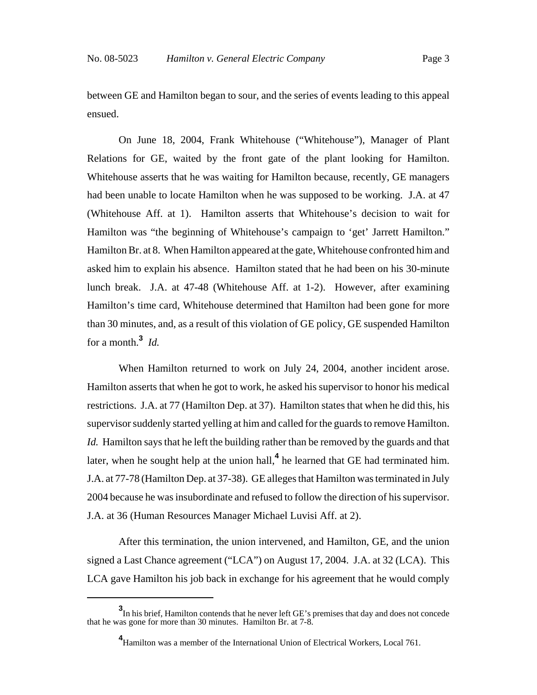between GE and Hamilton began to sour, and the series of events leading to this appeal ensued.

On June 18, 2004, Frank Whitehouse ("Whitehouse"), Manager of Plant Relations for GE, waited by the front gate of the plant looking for Hamilton. Whitehouse asserts that he was waiting for Hamilton because, recently, GE managers had been unable to locate Hamilton when he was supposed to be working. J.A. at 47 (Whitehouse Aff. at 1). Hamilton asserts that Whitehouse's decision to wait for Hamilton was "the beginning of Whitehouse's campaign to 'get' Jarrett Hamilton." Hamilton Br. at 8. When Hamilton appeared at the gate, Whitehouse confronted him and asked him to explain his absence. Hamilton stated that he had been on his 30-minute lunch break. J.A. at 47-48 (Whitehouse Aff. at 1-2). However, after examining Hamilton's time card, Whitehouse determined that Hamilton had been gone for more than 30 minutes, and, as a result of this violation of GE policy, GE suspended Hamilton for a month.**<sup>3</sup>** *Id.*

When Hamilton returned to work on July 24, 2004, another incident arose. Hamilton asserts that when he got to work, he asked his supervisor to honor his medical restrictions. J.A. at 77 (Hamilton Dep. at 37). Hamilton states that when he did this, his supervisor suddenly started yelling at him and called for the guards to remove Hamilton. *Id.* Hamilton says that he left the building rather than be removed by the guards and that later, when he sought help at the union hall,**<sup>4</sup>** he learned that GE had terminated him. J.A. at 77-78 (Hamilton Dep. at 37-38). GE alleges that Hamilton was terminated in July 2004 because he was insubordinate and refused to follow the direction of his supervisor. J.A. at 36 (Human Resources Manager Michael Luvisi Aff. at 2).

After this termination, the union intervened, and Hamilton, GE, and the union signed a Last Chance agreement ("LCA") on August 17, 2004. J.A. at 32 (LCA). This LCA gave Hamilton his job back in exchange for his agreement that he would comply

**<sup>3</sup>** In his brief, Hamilton contends that he never left GE's premises that day and does not concede that he was gone for more than 30 minutes. Hamilton Br. at 7-8.

**<sup>4</sup>** Hamilton was a member of the International Union of Electrical Workers, Local 761.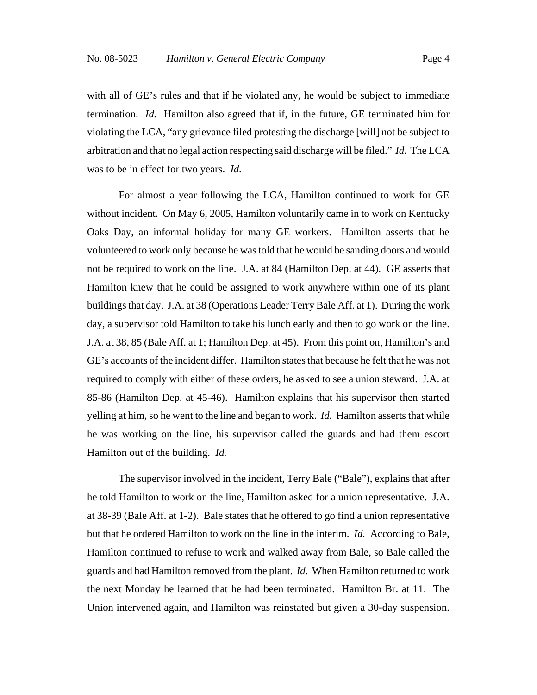with all of GE's rules and that if he violated any, he would be subject to immediate termination. *Id.* Hamilton also agreed that if, in the future, GE terminated him for violating the LCA, "any grievance filed protesting the discharge [will] not be subject to arbitration and that no legal action respecting said discharge will be filed." *Id.* The LCA was to be in effect for two years. *Id.*

For almost a year following the LCA, Hamilton continued to work for GE without incident. On May 6, 2005, Hamilton voluntarily came in to work on Kentucky Oaks Day, an informal holiday for many GE workers. Hamilton asserts that he volunteered to work only because he was told that he would be sanding doors and would not be required to work on the line. J.A. at 84 (Hamilton Dep. at 44). GE asserts that Hamilton knew that he could be assigned to work anywhere within one of its plant buildings that day. J.A. at 38 (Operations Leader Terry Bale Aff. at 1). During the work day, a supervisor told Hamilton to take his lunch early and then to go work on the line. J.A. at 38, 85 (Bale Aff. at 1; Hamilton Dep. at 45). From this point on, Hamilton's and GE's accounts of the incident differ. Hamilton states that because he felt that he was not required to comply with either of these orders, he asked to see a union steward. J.A. at 85-86 (Hamilton Dep. at 45-46). Hamilton explains that his supervisor then started yelling at him, so he went to the line and began to work. *Id.* Hamilton asserts that while he was working on the line, his supervisor called the guards and had them escort Hamilton out of the building. *Id.*

The supervisor involved in the incident, Terry Bale ("Bale"), explains that after he told Hamilton to work on the line, Hamilton asked for a union representative. J.A. at 38-39 (Bale Aff. at 1-2). Bale states that he offered to go find a union representative but that he ordered Hamilton to work on the line in the interim. *Id.* According to Bale, Hamilton continued to refuse to work and walked away from Bale, so Bale called the guards and had Hamilton removed from the plant. *Id.* When Hamilton returned to work the next Monday he learned that he had been terminated. Hamilton Br. at 11. The Union intervened again, and Hamilton was reinstated but given a 30-day suspension.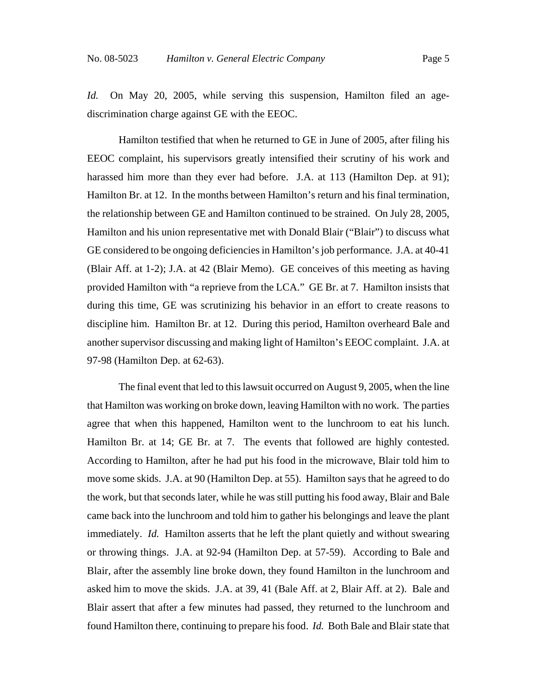*Id.* On May 20, 2005, while serving this suspension, Hamilton filed an agediscrimination charge against GE with the EEOC.

Hamilton testified that when he returned to GE in June of 2005, after filing his EEOC complaint, his supervisors greatly intensified their scrutiny of his work and harassed him more than they ever had before. J.A. at 113 (Hamilton Dep. at 91); Hamilton Br. at 12. In the months between Hamilton's return and his final termination, the relationship between GE and Hamilton continued to be strained. On July 28, 2005, Hamilton and his union representative met with Donald Blair ("Blair") to discuss what GE considered to be ongoing deficiencies in Hamilton's job performance. J.A. at 40-41 (Blair Aff. at 1-2); J.A. at 42 (Blair Memo). GE conceives of this meeting as having provided Hamilton with "a reprieve from the LCA." GE Br. at 7. Hamilton insists that during this time, GE was scrutinizing his behavior in an effort to create reasons to discipline him. Hamilton Br. at 12. During this period, Hamilton overheard Bale and another supervisor discussing and making light of Hamilton's EEOC complaint. J.A. at 97-98 (Hamilton Dep. at 62-63).

The final event that led to this lawsuit occurred on August 9, 2005, when the line that Hamilton was working on broke down, leaving Hamilton with no work. The parties agree that when this happened, Hamilton went to the lunchroom to eat his lunch. Hamilton Br. at 14; GE Br. at 7. The events that followed are highly contested. According to Hamilton, after he had put his food in the microwave, Blair told him to move some skids. J.A. at 90 (Hamilton Dep. at 55). Hamilton says that he agreed to do the work, but that seconds later, while he was still putting his food away, Blair and Bale came back into the lunchroom and told him to gather his belongings and leave the plant immediately. *Id.* Hamilton asserts that he left the plant quietly and without swearing or throwing things. J.A. at 92-94 (Hamilton Dep. at 57-59). According to Bale and Blair, after the assembly line broke down, they found Hamilton in the lunchroom and asked him to move the skids. J.A. at 39, 41 (Bale Aff. at 2, Blair Aff. at 2). Bale and Blair assert that after a few minutes had passed, they returned to the lunchroom and found Hamilton there, continuing to prepare his food. *Id.* Both Bale and Blair state that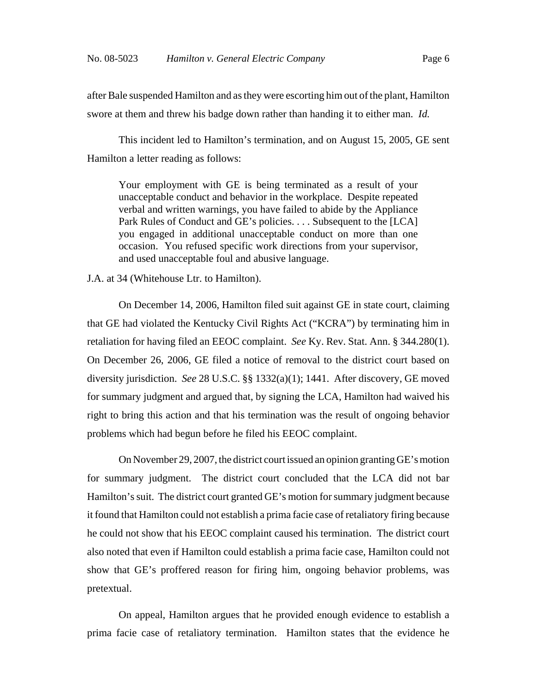after Bale suspended Hamilton and as they were escorting him out of the plant, Hamilton swore at them and threw his badge down rather than handing it to either man. *Id.*

This incident led to Hamilton's termination, and on August 15, 2005, GE sent Hamilton a letter reading as follows:

Your employment with GE is being terminated as a result of your unacceptable conduct and behavior in the workplace. Despite repeated verbal and written warnings, you have failed to abide by the Appliance Park Rules of Conduct and GE's policies. . . . Subsequent to the [LCA] you engaged in additional unacceptable conduct on more than one occasion. You refused specific work directions from your supervisor, and used unacceptable foul and abusive language.

J.A. at 34 (Whitehouse Ltr. to Hamilton).

On December 14, 2006, Hamilton filed suit against GE in state court, claiming that GE had violated the Kentucky Civil Rights Act ("KCRA") by terminating him in retaliation for having filed an EEOC complaint. *See* Ky. Rev. Stat. Ann. § 344.280(1). On December 26, 2006, GE filed a notice of removal to the district court based on diversity jurisdiction. *See* 28 U.S.C. §§ 1332(a)(1); 1441. After discovery, GE moved for summary judgment and argued that, by signing the LCA, Hamilton had waived his right to bring this action and that his termination was the result of ongoing behavior problems which had begun before he filed his EEOC complaint.

On November 29, 2007, the district court issued an opinion granting GE's motion for summary judgment. The district court concluded that the LCA did not bar Hamilton's suit. The district court granted GE's motion for summary judgment because it found that Hamilton could not establish a prima facie case of retaliatory firing because he could not show that his EEOC complaint caused his termination. The district court also noted that even if Hamilton could establish a prima facie case, Hamilton could not show that GE's proffered reason for firing him, ongoing behavior problems, was pretextual.

On appeal, Hamilton argues that he provided enough evidence to establish a prima facie case of retaliatory termination. Hamilton states that the evidence he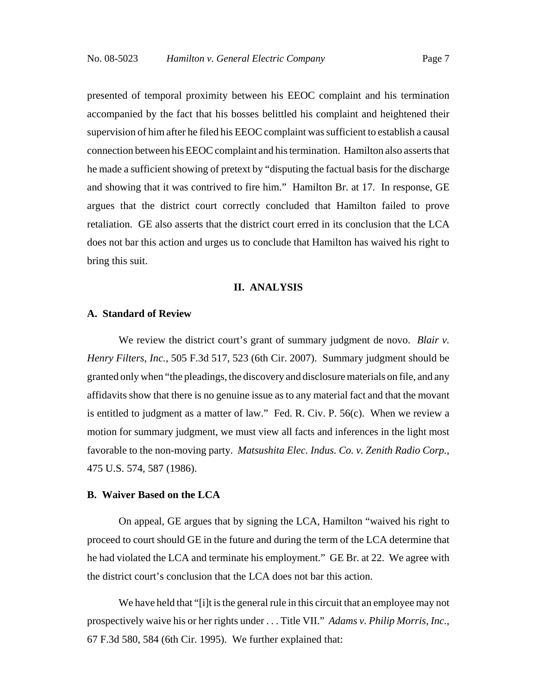presented of temporal proximity between his EEOC complaint and his termination accompanied by the fact that his bosses belittled his complaint and heightened their supervision of him after he filed his EEOC complaint was sufficient to establish a causal connection between his EEOC complaint and his termination. Hamilton also asserts that he made a sufficient showing of pretext by "disputing the factual basis for the discharge and showing that it was contrived to fire him." Hamilton Br. at 17. In response, GE argues that the district court correctly concluded that Hamilton failed to prove retaliation. GE also asserts that the district court erred in its conclusion that the LCA does not bar this action and urges us to conclude that Hamilton has waived his right to bring this suit.

#### **II. ANALYSIS**

#### **A. Standard of Review**

We review the district court's grant of summary judgment de novo. *Blair v. Henry Filters, Inc.*, 505 F.3d 517, 523 (6th Cir. 2007). Summary judgment should be granted only when "the pleadings, the discovery and disclosure materials on file, and any affidavits show that there is no genuine issue as to any material fact and that the movant is entitled to judgment as a matter of law." Fed. R. Civ. P. 56(c). When we review a motion for summary judgment, we must view all facts and inferences in the light most favorable to the non-moving party. *Matsushita Elec. Indus. Co. v. Zenith Radio Corp.*, 475 U.S. 574, 587 (1986).

#### **B. Waiver Based on the LCA**

On appeal, GE argues that by signing the LCA, Hamilton "waived his right to proceed to court should GE in the future and during the term of the LCA determine that he had violated the LCA and terminate his employment." GE Br. at 22. We agree with the district court's conclusion that the LCA does not bar this action.

We have held that "[i]t is the general rule in this circuit that an employee may not prospectively waive his or her rights under . . . Title VII." *Adams v. Philip Morris, Inc.*, 67 F.3d 580, 584 (6th Cir. 1995). We further explained that: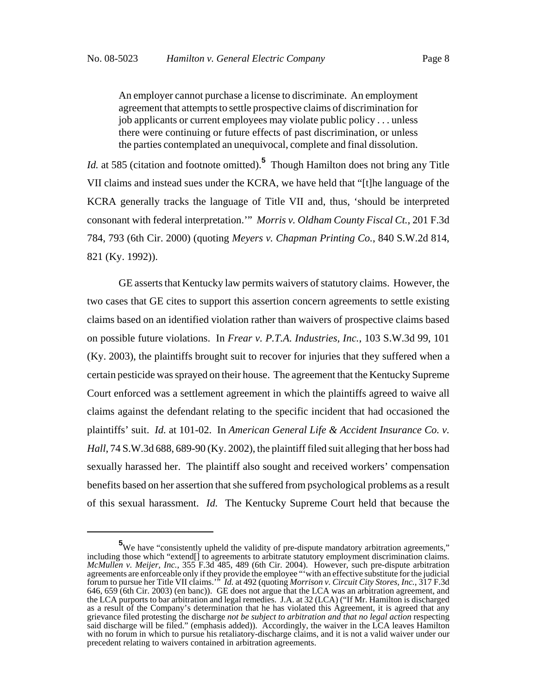An employer cannot purchase a license to discriminate. An employment agreement that attempts to settle prospective claims of discrimination for job applicants or current employees may violate public policy . . . unless there were continuing or future effects of past discrimination, or unless the parties contemplated an unequivocal, complete and final dissolution.

*Id.* at 585 (citation and footnote omitted).**<sup>5</sup>** Though Hamilton does not bring any Title VII claims and instead sues under the KCRA, we have held that "[t]he language of the KCRA generally tracks the language of Title VII and, thus, 'should be interpreted consonant with federal interpretation.'" *Morris v. Oldham County Fiscal Ct.*, 201 F.3d 784, 793 (6th Cir. 2000) (quoting *Meyers v. Chapman Printing Co.*, 840 S.W.2d 814, 821 (Ky. 1992)).

GE asserts that Kentucky law permits waivers of statutory claims. However, the two cases that GE cites to support this assertion concern agreements to settle existing claims based on an identified violation rather than waivers of prospective claims based on possible future violations. In *Frear v. P.T.A. Industries, Inc.*, 103 S.W.3d 99, 101 (Ky. 2003), the plaintiffs brought suit to recover for injuries that they suffered when a certain pesticide was sprayed on their house. The agreement that the Kentucky Supreme Court enforced was a settlement agreement in which the plaintiffs agreed to waive all claims against the defendant relating to the specific incident that had occasioned the plaintiffs' suit. *Id.* at 101-02. In *American General Life & Accident Insurance Co. v. Hall*, 74 S.W.3d 688, 689-90 (Ky. 2002), the plaintiff filed suit alleging that her boss had sexually harassed her. The plaintiff also sought and received workers' compensation benefits based on her assertion that she suffered from psychological problems as a result of this sexual harassment. *Id.* The Kentucky Supreme Court held that because the

<sup>&</sup>lt;sup>5</sup>We have "consistently upheld the validity of pre-dispute mandatory arbitration agreements," including those which "extend[] to agreements to arbitrate statutory employment discrimination claims. *McMullen v. Meijer, Inc.*, 355 F.3d 485, 489 (6th Cir. 2004). However, such pre-dispute arbitration agreements are enforceable only if they provide the employee "'with an effective substitute for the judicial forum to pursue her Title VII claims.'" *Id.* at 492 (quoting *Morrison v. Circuit City Stores, Inc.*, 317 F.3d 646, 659 (6th Cir. 2003) (en banc)). GE does not argue that the LCA was an arbitration agreement, and the LCA purports to bar arbitration and legal remedies. J.A. at 32 (LCA) ("If Mr. Hamilton is discharged as a result of the Company's determination that he has violated this Agreement, it is agreed that any grievance filed protesting the discharge *not be subject to arbitration and that no legal action* respecting said discharge will be filed." (emphasis added)). Accordingly, the waiver in the LCA leaves Hamilton with no forum in which to pursue his retaliatory-discharge claims, and it is not a valid waiver under our precedent relating to waivers contained in arbitration agreements.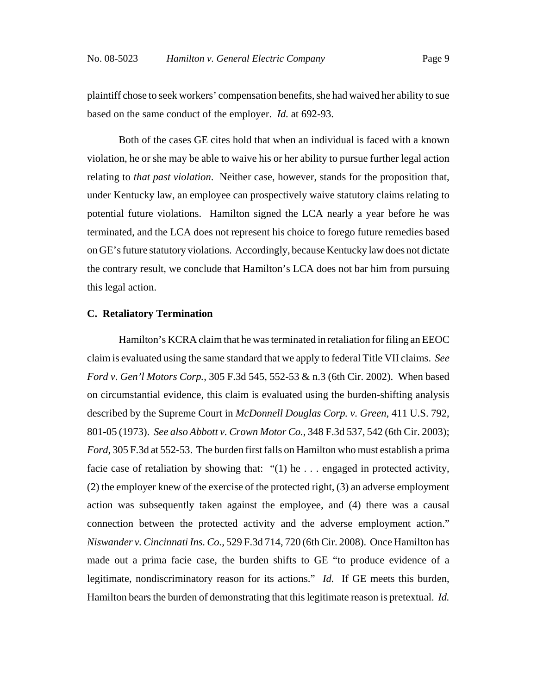plaintiff chose to seek workers' compensation benefits, she had waived her ability to sue based on the same conduct of the employer. *Id.* at 692-93.

Both of the cases GE cites hold that when an individual is faced with a known violation, he or she may be able to waive his or her ability to pursue further legal action relating to *that past violation*. Neither case, however, stands for the proposition that, under Kentucky law, an employee can prospectively waive statutory claims relating to potential future violations. Hamilton signed the LCA nearly a year before he was terminated, and the LCA does not represent his choice to forego future remedies based on GE's future statutory violations. Accordingly, because Kentucky law does not dictate the contrary result, we conclude that Hamilton's LCA does not bar him from pursuing this legal action.

#### **C. Retaliatory Termination**

Hamilton's KCRA claim that he was terminated in retaliation for filing an EEOC claim is evaluated using the same standard that we apply to federal Title VII claims. *See Ford v. Gen'l Motors Corp.*, 305 F.3d 545, 552-53 & n.3 (6th Cir. 2002). When based on circumstantial evidence, this claim is evaluated using the burden-shifting analysis described by the Supreme Court in *McDonnell Douglas Corp. v. Green*, 411 U.S. 792, 801-05 (1973). *See also Abbott v. Crown Motor Co.*, 348 F.3d 537, 542 (6th Cir. 2003); *Ford*, 305 F.3d at 552-53. The burden first falls on Hamilton who must establish a prima facie case of retaliation by showing that: " $(1)$  he ... engaged in protected activity, (2) the employer knew of the exercise of the protected right, (3) an adverse employment action was subsequently taken against the employee, and (4) there was a causal connection between the protected activity and the adverse employment action." *Niswander v. Cincinnati Ins. Co.*, 529 F.3d 714, 720 (6th Cir. 2008). Once Hamilton has made out a prima facie case, the burden shifts to GE "to produce evidence of a legitimate, nondiscriminatory reason for its actions." *Id.* If GE meets this burden, Hamilton bears the burden of demonstrating that this legitimate reason is pretextual. *Id.*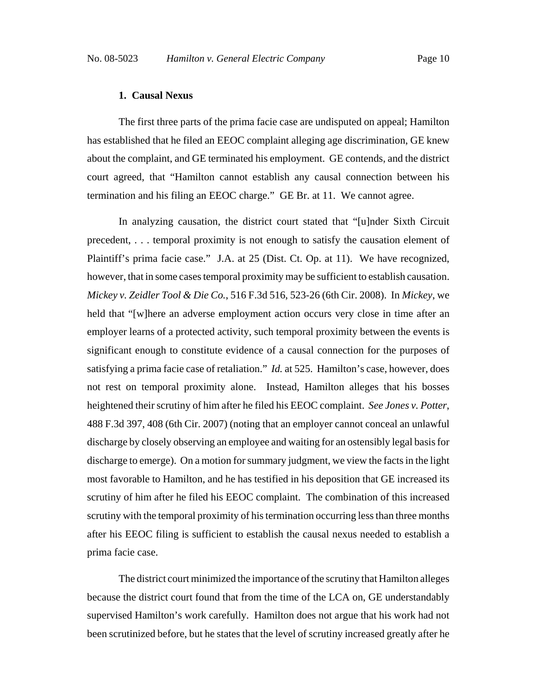#### **1. Causal Nexus**

The first three parts of the prima facie case are undisputed on appeal; Hamilton has established that he filed an EEOC complaint alleging age discrimination, GE knew about the complaint, and GE terminated his employment. GE contends, and the district court agreed, that "Hamilton cannot establish any causal connection between his termination and his filing an EEOC charge." GE Br. at 11. We cannot agree.

In analyzing causation, the district court stated that "[u]nder Sixth Circuit precedent, . . . temporal proximity is not enough to satisfy the causation element of Plaintiff's prima facie case." J.A. at 25 (Dist. Ct. Op. at 11). We have recognized, however, that in some cases temporal proximity may be sufficient to establish causation. *Mickey v. Zeidler Tool & Die Co.*, 516 F.3d 516, 523-26 (6th Cir. 2008). In *Mickey*, we held that "[w]here an adverse employment action occurs very close in time after an employer learns of a protected activity, such temporal proximity between the events is significant enough to constitute evidence of a causal connection for the purposes of satisfying a prima facie case of retaliation." *Id.* at 525. Hamilton's case, however, does not rest on temporal proximity alone. Instead, Hamilton alleges that his bosses heightened their scrutiny of him after he filed his EEOC complaint. *See Jones v. Potter*, 488 F.3d 397, 408 (6th Cir. 2007) (noting that an employer cannot conceal an unlawful discharge by closely observing an employee and waiting for an ostensibly legal basis for discharge to emerge). On a motion for summary judgment, we view the facts in the light most favorable to Hamilton, and he has testified in his deposition that GE increased its scrutiny of him after he filed his EEOC complaint. The combination of this increased scrutiny with the temporal proximity of his termination occurring less than three months after his EEOC filing is sufficient to establish the causal nexus needed to establish a prima facie case.

The district court minimized the importance of the scrutiny that Hamilton alleges because the district court found that from the time of the LCA on, GE understandably supervised Hamilton's work carefully. Hamilton does not argue that his work had not been scrutinized before, but he states that the level of scrutiny increased greatly after he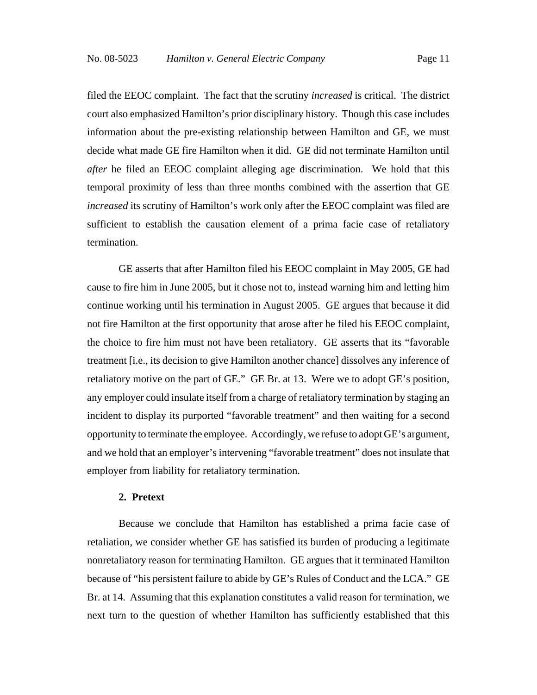filed the EEOC complaint. The fact that the scrutiny *increased* is critical. The district court also emphasized Hamilton's prior disciplinary history. Though this case includes information about the pre-existing relationship between Hamilton and GE, we must decide what made GE fire Hamilton when it did. GE did not terminate Hamilton until *after* he filed an EEOC complaint alleging age discrimination. We hold that this temporal proximity of less than three months combined with the assertion that GE *increased* its scrutiny of Hamilton's work only after the EEOC complaint was filed are sufficient to establish the causation element of a prima facie case of retaliatory termination.

GE asserts that after Hamilton filed his EEOC complaint in May 2005, GE had cause to fire him in June 2005, but it chose not to, instead warning him and letting him continue working until his termination in August 2005. GE argues that because it did not fire Hamilton at the first opportunity that arose after he filed his EEOC complaint, the choice to fire him must not have been retaliatory. GE asserts that its "favorable treatment [i.e., its decision to give Hamilton another chance] dissolves any inference of retaliatory motive on the part of GE." GE Br. at 13. Were we to adopt GE's position, any employer could insulate itself from a charge of retaliatory termination by staging an incident to display its purported "favorable treatment" and then waiting for a second opportunity to terminate the employee. Accordingly, we refuse to adopt GE's argument, and we hold that an employer's intervening "favorable treatment" does not insulate that employer from liability for retaliatory termination.

#### **2. Pretext**

Because we conclude that Hamilton has established a prima facie case of retaliation, we consider whether GE has satisfied its burden of producing a legitimate nonretaliatory reason for terminating Hamilton. GE argues that it terminated Hamilton because of "his persistent failure to abide by GE's Rules of Conduct and the LCA." GE Br. at 14. Assuming that this explanation constitutes a valid reason for termination, we next turn to the question of whether Hamilton has sufficiently established that this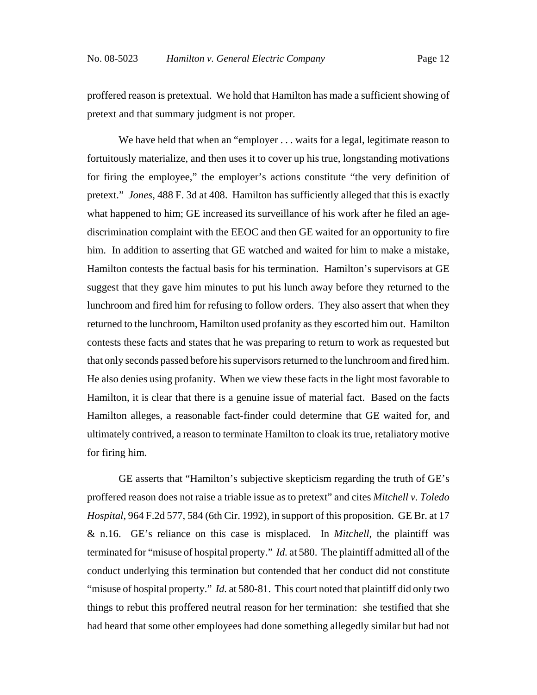proffered reason is pretextual. We hold that Hamilton has made a sufficient showing of pretext and that summary judgment is not proper.

We have held that when an "employer . . . waits for a legal, legitimate reason to fortuitously materialize, and then uses it to cover up his true, longstanding motivations for firing the employee," the employer's actions constitute "the very definition of pretext." *Jones*, 488 F. 3d at 408. Hamilton has sufficiently alleged that this is exactly what happened to him; GE increased its surveillance of his work after he filed an agediscrimination complaint with the EEOC and then GE waited for an opportunity to fire him. In addition to asserting that GE watched and waited for him to make a mistake, Hamilton contests the factual basis for his termination. Hamilton's supervisors at GE suggest that they gave him minutes to put his lunch away before they returned to the lunchroom and fired him for refusing to follow orders. They also assert that when they returned to the lunchroom, Hamilton used profanity as they escorted him out. Hamilton contests these facts and states that he was preparing to return to work as requested but that only seconds passed before his supervisors returned to the lunchroom and fired him. He also denies using profanity. When we view these facts in the light most favorable to Hamilton, it is clear that there is a genuine issue of material fact. Based on the facts Hamilton alleges, a reasonable fact-finder could determine that GE waited for, and ultimately contrived, a reason to terminate Hamilton to cloak its true, retaliatory motive for firing him.

GE asserts that "Hamilton's subjective skepticism regarding the truth of GE's proffered reason does not raise a triable issue as to pretext" and cites *Mitchell v. Toledo Hospital*, 964 F.2d 577, 584 (6th Cir. 1992), in support of this proposition. GE Br. at 17 & n.16. GE's reliance on this case is misplaced. In *Mitchell*, the plaintiff was terminated for "misuse of hospital property." *Id.* at 580. The plaintiff admitted all of the conduct underlying this termination but contended that her conduct did not constitute "misuse of hospital property." *Id.* at 580-81. This court noted that plaintiff did only two things to rebut this proffered neutral reason for her termination: she testified that she had heard that some other employees had done something allegedly similar but had not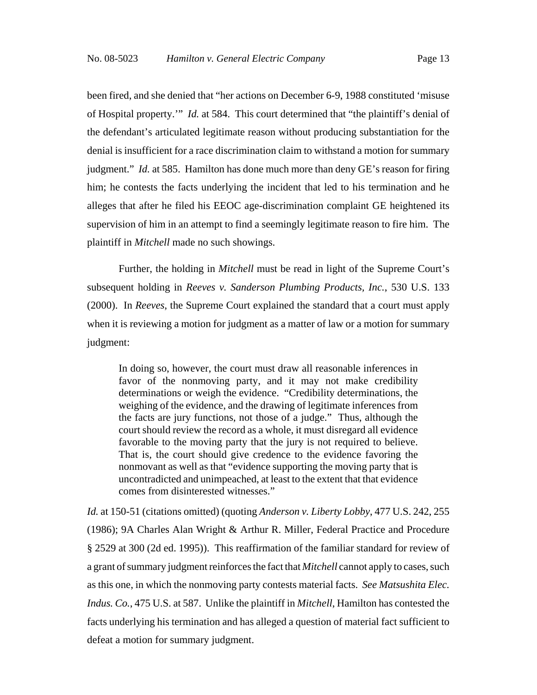been fired, and she denied that "her actions on December 6-9, 1988 constituted 'misuse of Hospital property.'" *Id.* at 584. This court determined that "the plaintiff's denial of the defendant's articulated legitimate reason without producing substantiation for the denial is insufficient for a race discrimination claim to withstand a motion for summary judgment." *Id.* at 585. Hamilton has done much more than deny GE's reason for firing him; he contests the facts underlying the incident that led to his termination and he alleges that after he filed his EEOC age-discrimination complaint GE heightened its supervision of him in an attempt to find a seemingly legitimate reason to fire him. The plaintiff in *Mitchell* made no such showings.

Further, the holding in *Mitchell* must be read in light of the Supreme Court's subsequent holding in *Reeves v. Sanderson Plumbing Products, Inc.*, 530 U.S. 133 (2000). In *Reeves*, the Supreme Court explained the standard that a court must apply when it is reviewing a motion for judgment as a matter of law or a motion for summary judgment:

In doing so, however, the court must draw all reasonable inferences in favor of the nonmoving party, and it may not make credibility determinations or weigh the evidence. "Credibility determinations, the weighing of the evidence, and the drawing of legitimate inferences from the facts are jury functions, not those of a judge." Thus, although the court should review the record as a whole, it must disregard all evidence favorable to the moving party that the jury is not required to believe. That is, the court should give credence to the evidence favoring the nonmovant as well as that "evidence supporting the moving party that is uncontradicted and unimpeached, at least to the extent that that evidence comes from disinterested witnesses."

*Id.* at 150-51 (citations omitted) (quoting *Anderson v. Liberty Lobby*, 477 U.S. 242, 255 (1986); 9A Charles Alan Wright & Arthur R. Miller, Federal Practice and Procedure § 2529 at 300 (2d ed. 1995)). This reaffirmation of the familiar standard for review of a grant of summary judgment reinforces the fact that *Mitchell* cannot apply to cases, such as this one, in which the nonmoving party contests material facts. *See Matsushita Elec. Indus. Co.*, 475 U.S. at 587. Unlike the plaintiff in *Mitchell*, Hamilton has contested the facts underlying his termination and has alleged a question of material fact sufficient to defeat a motion for summary judgment.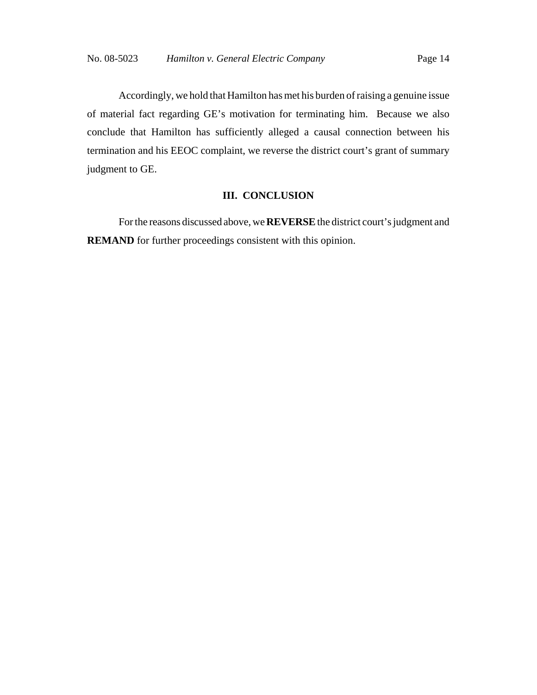Accordingly, we hold that Hamilton has met his burden of raising a genuine issue of material fact regarding GE's motivation for terminating him. Because we also conclude that Hamilton has sufficiently alleged a causal connection between his termination and his EEOC complaint, we reverse the district court's grant of summary judgment to GE.

### **III. CONCLUSION**

For the reasons discussed above, we **REVERSE** the district court's judgment and **REMAND** for further proceedings consistent with this opinion.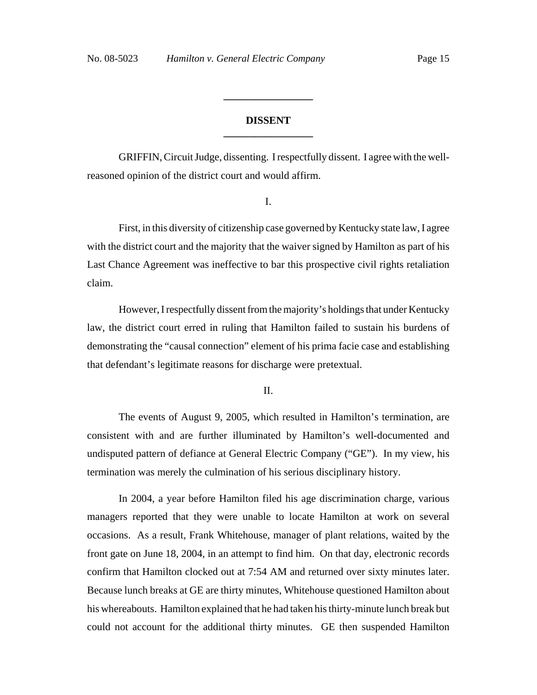### **DISSENT \_\_\_\_\_\_\_\_\_\_\_\_\_\_\_\_\_**

**\_\_\_\_\_\_\_\_\_\_\_\_\_\_\_\_\_**

GRIFFIN, Circuit Judge, dissenting. I respectfully dissent. I agree with the wellreasoned opinion of the district court and would affirm.

I.

First, in this diversity of citizenship case governed by Kentucky state law, I agree with the district court and the majority that the waiver signed by Hamilton as part of his Last Chance Agreement was ineffective to bar this prospective civil rights retaliation claim.

However, I respectfully dissent from the majority's holdings that under Kentucky law, the district court erred in ruling that Hamilton failed to sustain his burdens of demonstrating the "causal connection" element of his prima facie case and establishing that defendant's legitimate reasons for discharge were pretextual.

II.

The events of August 9, 2005, which resulted in Hamilton's termination, are consistent with and are further illuminated by Hamilton's well-documented and undisputed pattern of defiance at General Electric Company ("GE"). In my view, his termination was merely the culmination of his serious disciplinary history.

In 2004, a year before Hamilton filed his age discrimination charge, various managers reported that they were unable to locate Hamilton at work on several occasions. As a result, Frank Whitehouse, manager of plant relations, waited by the front gate on June 18, 2004, in an attempt to find him. On that day, electronic records confirm that Hamilton clocked out at 7:54 AM and returned over sixty minutes later. Because lunch breaks at GE are thirty minutes, Whitehouse questioned Hamilton about his whereabouts. Hamilton explained that he had taken his thirty-minute lunch break but could not account for the additional thirty minutes. GE then suspended Hamilton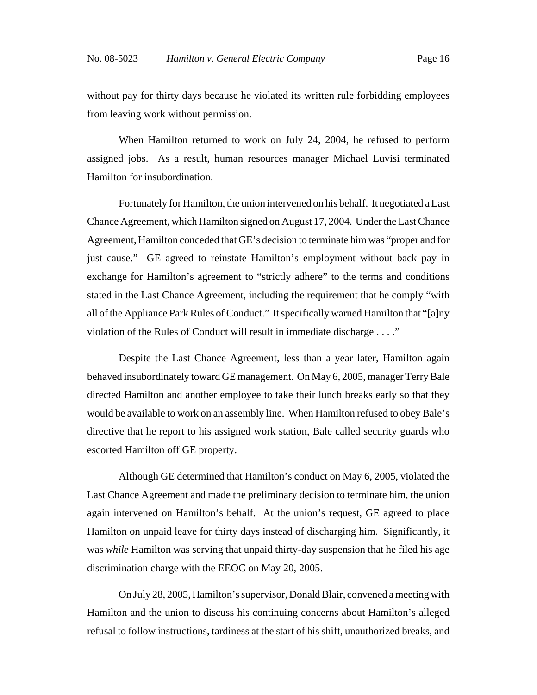without pay for thirty days because he violated its written rule forbidding employees from leaving work without permission.

When Hamilton returned to work on July 24, 2004, he refused to perform assigned jobs. As a result, human resources manager Michael Luvisi terminated Hamilton for insubordination.

Fortunately for Hamilton, the union intervened on his behalf. It negotiated a Last Chance Agreement, which Hamilton signed on August 17, 2004. Under the Last Chance Agreement, Hamilton conceded that GE's decision to terminate him was "proper and for just cause." GE agreed to reinstate Hamilton's employment without back pay in exchange for Hamilton's agreement to "strictly adhere" to the terms and conditions stated in the Last Chance Agreement, including the requirement that he comply "with all of the Appliance Park Rules of Conduct." It specifically warned Hamilton that "[a]ny violation of the Rules of Conduct will result in immediate discharge . . . ."

Despite the Last Chance Agreement, less than a year later, Hamilton again behaved insubordinately toward GE management. On May 6, 2005, manager Terry Bale directed Hamilton and another employee to take their lunch breaks early so that they would be available to work on an assembly line. When Hamilton refused to obey Bale's directive that he report to his assigned work station, Bale called security guards who escorted Hamilton off GE property.

Although GE determined that Hamilton's conduct on May 6, 2005, violated the Last Chance Agreement and made the preliminary decision to terminate him, the union again intervened on Hamilton's behalf. At the union's request, GE agreed to place Hamilton on unpaid leave for thirty days instead of discharging him. Significantly, it was *while* Hamilton was serving that unpaid thirty-day suspension that he filed his age discrimination charge with the EEOC on May 20, 2005.

On July 28, 2005, Hamilton's supervisor, Donald Blair, convened a meeting with Hamilton and the union to discuss his continuing concerns about Hamilton's alleged refusal to follow instructions, tardiness at the start of his shift, unauthorized breaks, and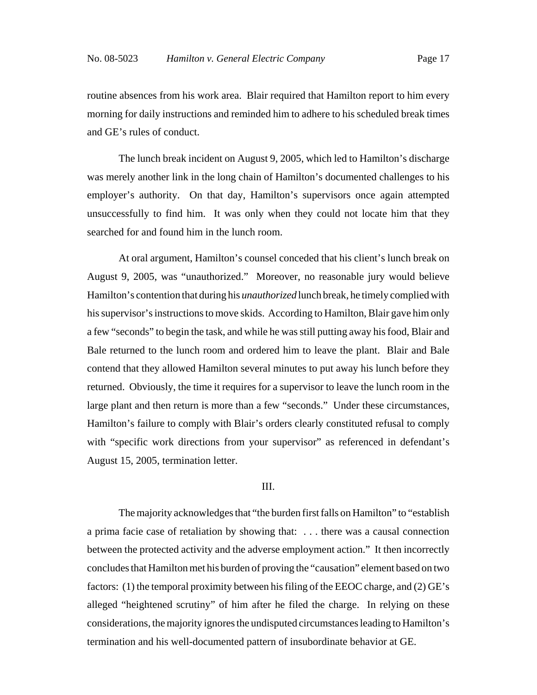routine absences from his work area. Blair required that Hamilton report to him every morning for daily instructions and reminded him to adhere to his scheduled break times and GE's rules of conduct.

The lunch break incident on August 9, 2005, which led to Hamilton's discharge was merely another link in the long chain of Hamilton's documented challenges to his employer's authority. On that day, Hamilton's supervisors once again attempted unsuccessfully to find him. It was only when they could not locate him that they searched for and found him in the lunch room.

At oral argument, Hamilton's counsel conceded that his client's lunch break on August 9, 2005, was "unauthorized." Moreover, no reasonable jury would believe Hamilton's contention that during his *unauthorized* lunch break, he timely complied with his supervisor's instructions to move skids. According to Hamilton, Blair gave him only a few "seconds" to begin the task, and while he was still putting away his food, Blair and Bale returned to the lunch room and ordered him to leave the plant. Blair and Bale contend that they allowed Hamilton several minutes to put away his lunch before they returned. Obviously, the time it requires for a supervisor to leave the lunch room in the large plant and then return is more than a few "seconds." Under these circumstances, Hamilton's failure to comply with Blair's orders clearly constituted refusal to comply with "specific work directions from your supervisor" as referenced in defendant's August 15, 2005, termination letter.

#### III.

The majority acknowledges that "the burden first falls on Hamilton" to "establish a prima facie case of retaliation by showing that: . . . there was a causal connection between the protected activity and the adverse employment action." It then incorrectly concludes that Hamilton met his burden of proving the "causation" element based on two factors: (1) the temporal proximity between his filing of the EEOC charge, and (2) GE's alleged "heightened scrutiny" of him after he filed the charge. In relying on these considerations, the majority ignores the undisputed circumstances leading to Hamilton's termination and his well-documented pattern of insubordinate behavior at GE.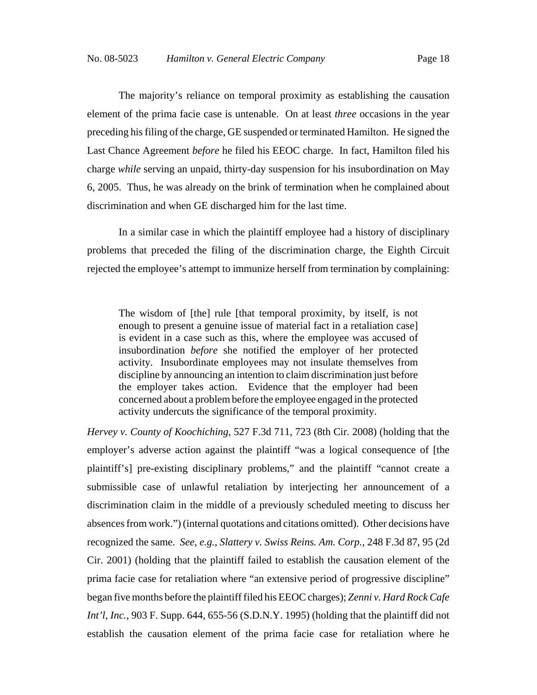The majority's reliance on temporal proximity as establishing the causation element of the prima facie case is untenable. On at least *three* occasions in the year preceding his filing of the charge, GE suspended or terminated Hamilton. He signed the Last Chance Agreement *before* he filed his EEOC charge. In fact, Hamilton filed his charge *while* serving an unpaid, thirty-day suspension for his insubordination on May 6, 2005. Thus, he was already on the brink of termination when he complained about discrimination and when GE discharged him for the last time.

In a similar case in which the plaintiff employee had a history of disciplinary problems that preceded the filing of the discrimination charge, the Eighth Circuit rejected the employee's attempt to immunize herself from termination by complaining:

The wisdom of [the] rule [that temporal proximity, by itself, is not enough to present a genuine issue of material fact in a retaliation case] is evident in a case such as this, where the employee was accused of insubordination *before* she notified the employer of her protected activity. Insubordinate employees may not insulate themselves from discipline by announcing an intention to claim discrimination just before the employer takes action. Evidence that the employer had been concerned about a problem before the employee engaged in the protected activity undercuts the significance of the temporal proximity.

*Hervey v. County of Koochiching*, 527 F.3d 711, 723 (8th Cir. 2008) (holding that the employer's adverse action against the plaintiff "was a logical consequence of [the plaintiff's] pre-existing disciplinary problems," and the plaintiff "cannot create a submissible case of unlawful retaliation by interjecting her announcement of a discrimination claim in the middle of a previously scheduled meeting to discuss her absences from work.") (internal quotations and citations omitted). Other decisions have recognized the same. *See*, *e.g.*, *Slattery v. Swiss Reins. Am. Corp.*, 248 F.3d 87, 95 (2d Cir. 2001) (holding that the plaintiff failed to establish the causation element of the prima facie case for retaliation where "an extensive period of progressive discipline" began five months before the plaintiff filed his EEOC charges); *Zenni v. Hard Rock Cafe Int'l*, *Inc.*, 903 F. Supp. 644, 655-56 (S.D.N.Y. 1995) (holding that the plaintiff did not establish the causation element of the prima facie case for retaliation where he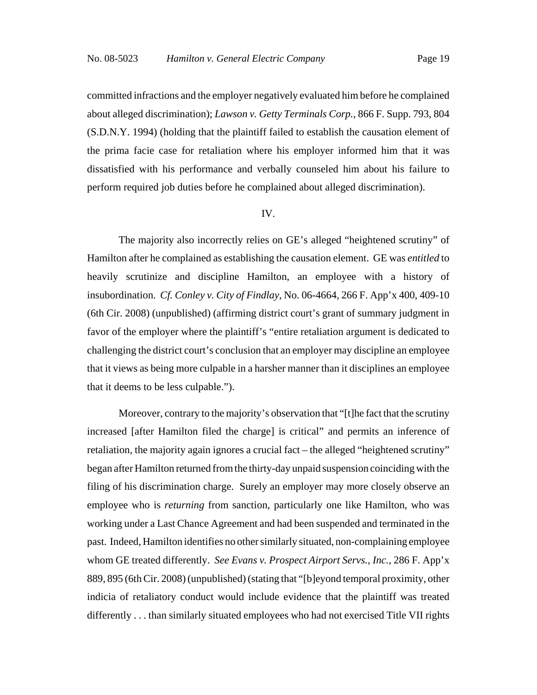committed infractions and the employer negatively evaluated him before he complained about alleged discrimination); *Lawson v. Getty Terminals Corp.*, 866 F. Supp. 793, 804 (S.D.N.Y. 1994) (holding that the plaintiff failed to establish the causation element of the prima facie case for retaliation where his employer informed him that it was dissatisfied with his performance and verbally counseled him about his failure to perform required job duties before he complained about alleged discrimination).

#### IV.

The majority also incorrectly relies on GE's alleged "heightened scrutiny" of Hamilton after he complained as establishing the causation element. GE was *entitled* to heavily scrutinize and discipline Hamilton, an employee with a history of insubordination. *Cf. Conley v. City of Findlay*, No. 06-4664, 266 F. App'x 400, 409-10 (6th Cir. 2008) (unpublished) (affirming district court's grant of summary judgment in favor of the employer where the plaintiff's "entire retaliation argument is dedicated to challenging the district court's conclusion that an employer may discipline an employee that it views as being more culpable in a harsher manner than it disciplines an employee that it deems to be less culpable.").

Moreover, contrary to the majority's observation that "[t]he fact that the scrutiny increased [after Hamilton filed the charge] is critical" and permits an inference of retaliation, the majority again ignores a crucial fact – the alleged "heightened scrutiny" began after Hamilton returned from the thirty-day unpaid suspension coinciding with the filing of his discrimination charge. Surely an employer may more closely observe an employee who is *returning* from sanction, particularly one like Hamilton, who was working under a Last Chance Agreement and had been suspended and terminated in the past. Indeed, Hamilton identifies no other similarly situated, non-complaining employee whom GE treated differently. *See Evans v. Prospect Airport Servs.*, *Inc.*, 286 F. App'x 889, 895 (6th Cir. 2008) (unpublished) (stating that "[b]eyond temporal proximity, other indicia of retaliatory conduct would include evidence that the plaintiff was treated differently . . . than similarly situated employees who had not exercised Title VII rights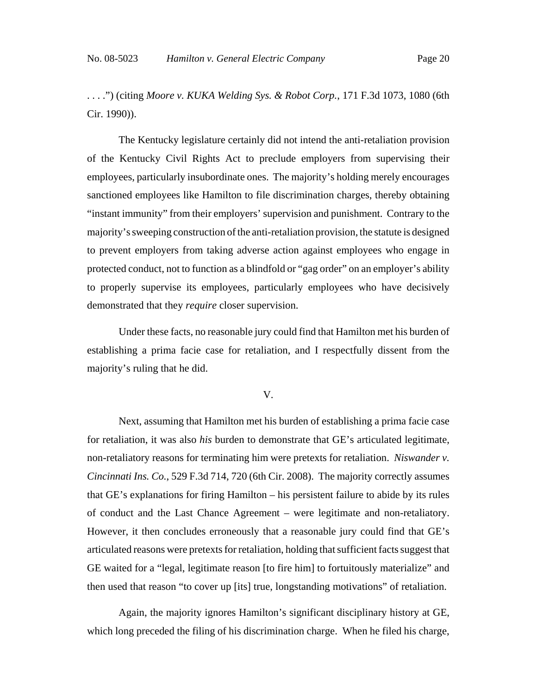. . . .") (citing *Moore v. KUKA Welding Sys. & Robot Corp.*, 171 F.3d 1073, 1080 (6th Cir. 1990)).

The Kentucky legislature certainly did not intend the anti-retaliation provision of the Kentucky Civil Rights Act to preclude employers from supervising their employees, particularly insubordinate ones. The majority's holding merely encourages sanctioned employees like Hamilton to file discrimination charges, thereby obtaining "instant immunity" from their employers' supervision and punishment. Contrary to the majority's sweeping construction of the anti-retaliation provision, the statute is designed to prevent employers from taking adverse action against employees who engage in protected conduct, not to function as a blindfold or "gag order" on an employer's ability to properly supervise its employees, particularly employees who have decisively demonstrated that they *require* closer supervision.

Under these facts, no reasonable jury could find that Hamilton met his burden of establishing a prima facie case for retaliation, and I respectfully dissent from the majority's ruling that he did.

V.

Next, assuming that Hamilton met his burden of establishing a prima facie case for retaliation, it was also *his* burden to demonstrate that GE's articulated legitimate, non-retaliatory reasons for terminating him were pretexts for retaliation. *Niswander v. Cincinnati Ins. Co.*, 529 F.3d 714, 720 (6th Cir. 2008). The majority correctly assumes that GE's explanations for firing Hamilton – his persistent failure to abide by its rules of conduct and the Last Chance Agreement – were legitimate and non-retaliatory. However, it then concludes erroneously that a reasonable jury could find that GE's articulated reasons were pretexts for retaliation, holding that sufficient facts suggest that GE waited for a "legal, legitimate reason [to fire him] to fortuitously materialize" and then used that reason "to cover up [its] true, longstanding motivations" of retaliation.

Again, the majority ignores Hamilton's significant disciplinary history at GE, which long preceded the filing of his discrimination charge. When he filed his charge,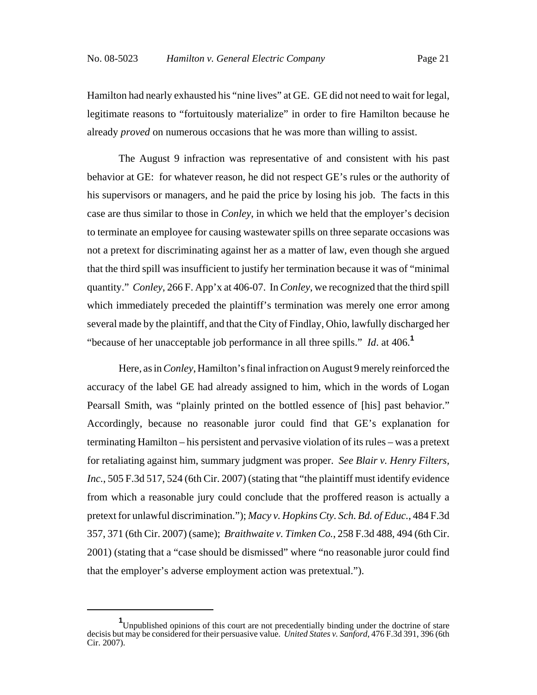Hamilton had nearly exhausted his "nine lives" at GE. GE did not need to wait for legal, legitimate reasons to "fortuitously materialize" in order to fire Hamilton because he already *proved* on numerous occasions that he was more than willing to assist.

The August 9 infraction was representative of and consistent with his past behavior at GE: for whatever reason, he did not respect GE's rules or the authority of his supervisors or managers, and he paid the price by losing his job. The facts in this case are thus similar to those in *Conley*, in which we held that the employer's decision to terminate an employee for causing wastewater spills on three separate occasions was not a pretext for discriminating against her as a matter of law, even though she argued that the third spill was insufficient to justify her termination because it was of "minimal quantity." *Conley*, 266 F. App'x at 406-07. In *Conley*, we recognized that the third spill which immediately preceded the plaintiff's termination was merely one error among several made by the plaintiff, and that the City of Findlay, Ohio, lawfully discharged her "because of her unacceptable job performance in all three spills." *Id*. at 406.**<sup>1</sup>**

Here, as in *Conley*, Hamilton's final infraction on August 9 merely reinforced the accuracy of the label GE had already assigned to him, which in the words of Logan Pearsall Smith, was "plainly printed on the bottled essence of [his] past behavior." Accordingly, because no reasonable juror could find that GE's explanation for terminating Hamilton – his persistent and pervasive violation of its rules – was a pretext for retaliating against him, summary judgment was proper. *See Blair v. Henry Filters, Inc.*, 505 F.3d 517, 524 (6th Cir. 2007) (stating that "the plaintiff must identify evidence from which a reasonable jury could conclude that the proffered reason is actually a pretext for unlawful discrimination."); *Macy v. Hopkins Cty. Sch. Bd. of Educ.*, 484 F.3d 357, 371 (6th Cir. 2007) (same); *Braithwaite v. Timken Co.*, 258 F.3d 488, 494 (6th Cir. 2001) (stating that a "case should be dismissed" where "no reasonable juror could find that the employer's adverse employment action was pretextual.").

**<sup>1</sup>** Unpublished opinions of this court are not precedentially binding under the doctrine of stare decisis but may be considered for their persuasive value. *United States v. Sanford*, 476 F.3d 391, 396 (6th Cir. 2007).